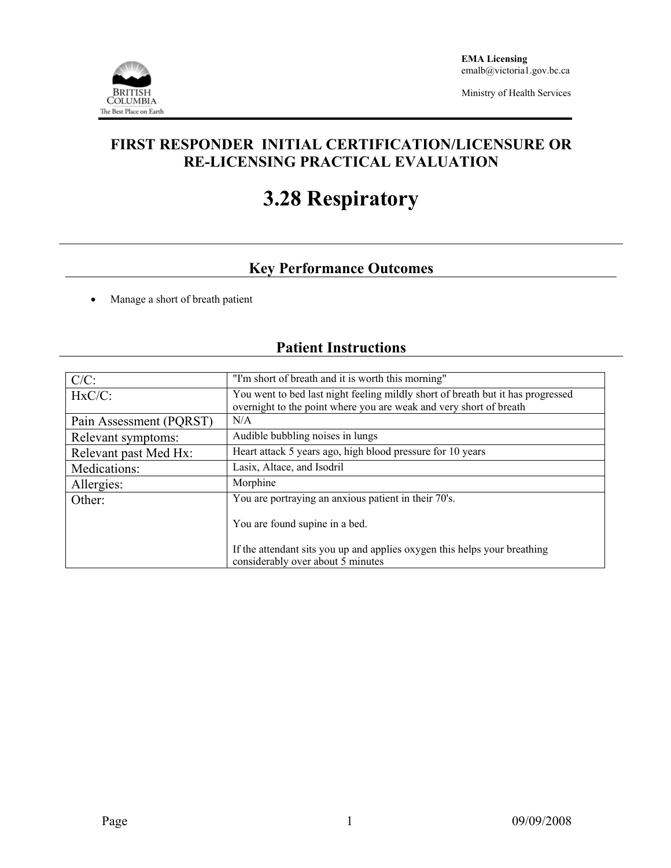

Ministry of Health Services

### **FIRST RESPONDER INITIAL CERTIFICATION/LICENSURE OR RE-LICENSING PRACTICAL EVALUATION**

# **3.28 Respiratory**

## **Key Performance Outcomes**

• Manage a short of breath patient

# **Patient Instructions**

| $C/C$ :                 | "I'm short of breath and it is worth this morning"                                                                                                    |  |  |  |
|-------------------------|-------------------------------------------------------------------------------------------------------------------------------------------------------|--|--|--|
| $HxC/C$ :               | You went to bed last night feeling mildly short of breath but it has progressed<br>overnight to the point where you are weak and very short of breath |  |  |  |
| Pain Assessment (PQRST) | N/A                                                                                                                                                   |  |  |  |
| Relevant symptoms:      | Audible bubbling noises in lungs                                                                                                                      |  |  |  |
| Relevant past Med Hx:   | Heart attack 5 years ago, high blood pressure for 10 years                                                                                            |  |  |  |
| Medications:            | Lasix, Altace, and Isodril                                                                                                                            |  |  |  |
| Allergies:              | Morphine                                                                                                                                              |  |  |  |
| Other:                  | You are portraying an anxious patient in their 70's.                                                                                                  |  |  |  |
|                         | You are found supine in a bed.                                                                                                                        |  |  |  |
|                         | If the attendant sits you up and applies oxygen this helps your breathing<br>considerably over about 5 minutes                                        |  |  |  |